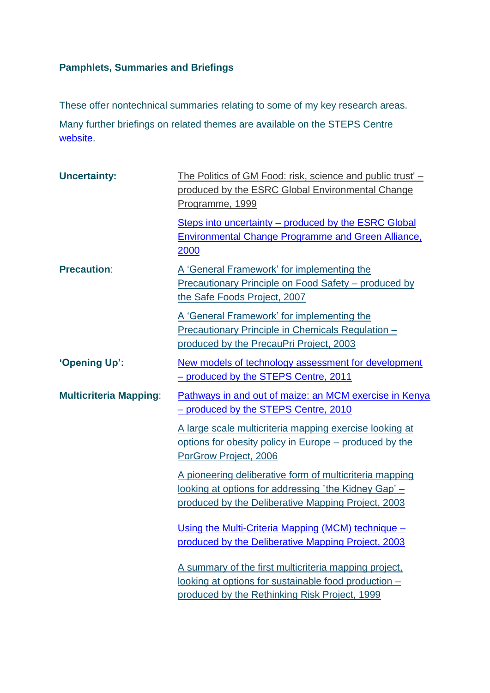## **Pamphlets, Summaries and Briefings**

These offer nontechnical summaries relating to some of my key research areas. Many further briefings on related themes are available on the STEPS Centre [website.](http://www.steps-centre.org/publications/index.html#briefings)

| <b>Uncertainty:</b>           | The Politics of GM Food: risk, science and public trust' -<br>produced by the ESRC Global Environmental Change<br>Programme, 1999                                     |
|-------------------------------|-----------------------------------------------------------------------------------------------------------------------------------------------------------------------|
|                               | Steps into uncertainty – produced by the ESRC Global<br><b>Environmental Change Programme and Green Alliance,</b><br>2000                                             |
| <b>Precaution:</b>            | A 'General Framework' for implementing the<br>Precautionary Principle on Food Safety - produced by<br>the Safe Foods Project, 2007                                    |
|                               | A 'General Framework' for implementing the<br>Precautionary Principle in Chemicals Regulation -<br>produced by the PrecauPri Project, 2003                            |
| 'Opening Up':                 | New models of technology assessment for development<br>- produced by the STEPS Centre, 2011                                                                           |
| <b>Multicriteria Mapping:</b> | Pathways in and out of maize: an MCM exercise in Kenya<br>- produced by the STEPS Centre, 2010                                                                        |
|                               | A large scale multicriteria mapping exercise looking at<br>options for obesity policy in Europe – produced by the<br>PorGrow Project, 2006                            |
|                               | A pioneering deliberative form of multicriteria mapping<br>looking at options for addressing 'the Kidney Gap' -<br>produced by the Deliberative Mapping Project, 2003 |
|                               | Using the Multi-Criteria Mapping (MCM) technique -<br>produced by the Deliberative Mapping Project, 2003                                                              |
|                               | A summary of the first multicriteria mapping project,<br>looking at options for sustainable food production -<br>produced by the Rethinking Risk Project, 1999        |